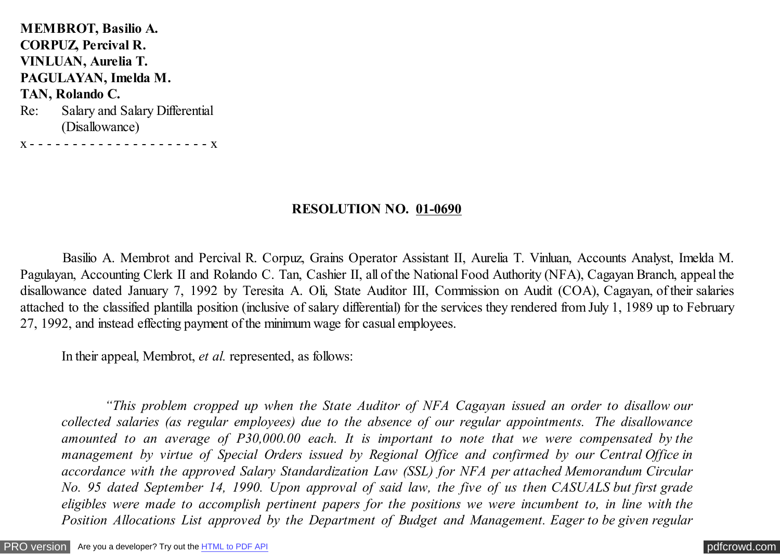**MEMBROT, Basilio A. CORPUZ, Percival R. VINLUAN, Aurelia T. PAGULAYAN, Imelda M. TAN, Rolando C.** Re: Salary and Salary Differential (Disallowance) x - - - - - - - - - - - - - - - - - - - - - x

## **RESOLUTION NO. 01-0690**

 Basilio A. Membrot and Percival R. Corpuz, Grains Operator Assistant II, Aurelia T. Vinluan, Accounts Analyst, Imelda M. Pagulayan, Accounting Clerk II and Rolando C. Tan, Cashier II, all of the National Food Authority (NFA), Cagayan Branch, appeal the disallowance dated January 7, 1992 by Teresita A. Oli, State Auditor III, Commission on Audit (COA), Cagayan, of their salaries attached to the classified plantilla position (inclusive of salary differential) for the services they rendered from July 1, 1989 up to February 27, 1992, and instead effecting payment of the minimum wage for casual employees.

In their appeal, Membrot, *et al.* represented, as follows:

 *"This problem cropped up when the State Auditor of NFA Cagayan issued an order to disallow our collected salaries (as regular employees) due to the absence of our regular appointments. The disallowance amounted to an average of P30,000.00 each. It is important to note that we were compensated by the management by virtue of Special Orders issued by Regional Office and confirmed by our Central Office in accordance with the approved Salary Standardization Law (SSL) for NFA per attached Memorandum Circular No. 95 dated September 14, 1990. Upon approval of said law, the five of us then CASUALS but first grade eligibles were made to accomplish pertinent papers for the positions we were incumbent to, in line with the Position Allocations List approved by the Department of Budget and Management. Eager to be given regular*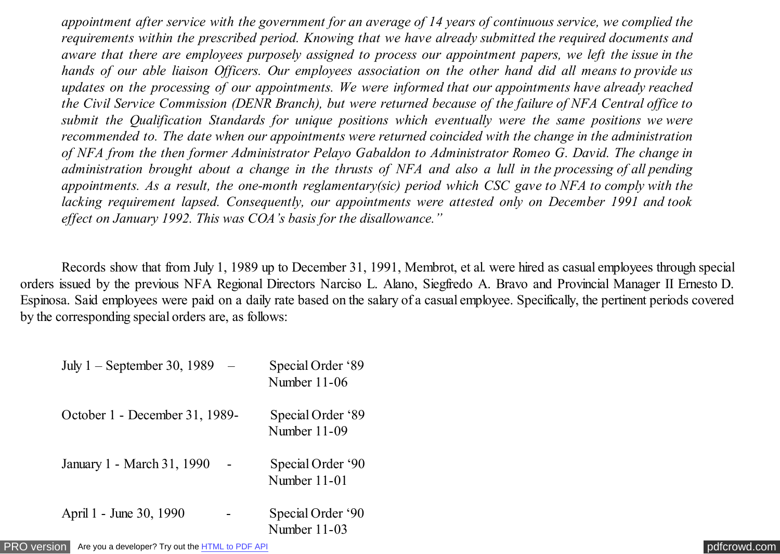*appointment after service with the government for an average of 14 years of continuous service, we complied the requirements within the prescribed period. Knowing that we have already submitted the required documents and aware that there are employees purposely assigned to process our appointment papers, we left the issue in the hands of our able liaison Officers. Our employees association on the other hand did all means to provide us updates on the processing of our appointments. We were informed that our appointments have already reached the Civil Service Commission (DENR Branch), but were returned because of the failure of NFA Central office to submit the Qualification Standards for unique positions which eventually were the same positions we were recommended to. The date when our appointments were returned coincided with the change in the administration of NFA from the then former Administrator Pelayo Gabaldon to Administrator Romeo G. David. The change in administration brought about a change in the thrusts of NFA and also a lull in the processing of all pending appointments. As a result, the one-month reglamentary(sic) period which CSC gave to NFA to comply with the lacking requirement lapsed. Consequently, our appointments were attested only on December 1991 and took effect on January 1992. This was COA's basis for the disallowance."*

Records show that from July 1, 1989 up to December 31, 1991, Membrot, et al. were hired as casual employees through special orders issued by the previous NFA Regional Directors Narciso L. Alano, Siegfredo A. Bravo and Provincial Manager II Ernesto D. Espinosa. Said employees were paid on a daily rate based on the salary of a casual employee. Specifically, the pertinent periods covered by the corresponding special orders are, as follows:

| July $1$ – September 30, 1989  | Special Order '89<br>Number 11-06 |
|--------------------------------|-----------------------------------|
| October 1 - December 31, 1989- | Special Order '89<br>Number 11-09 |
| January 1 - March 31, 1990     | Special Order '90<br>Number 11-01 |
| April 1 - June 30, 1990        | Special Order '90<br>Number 11-03 |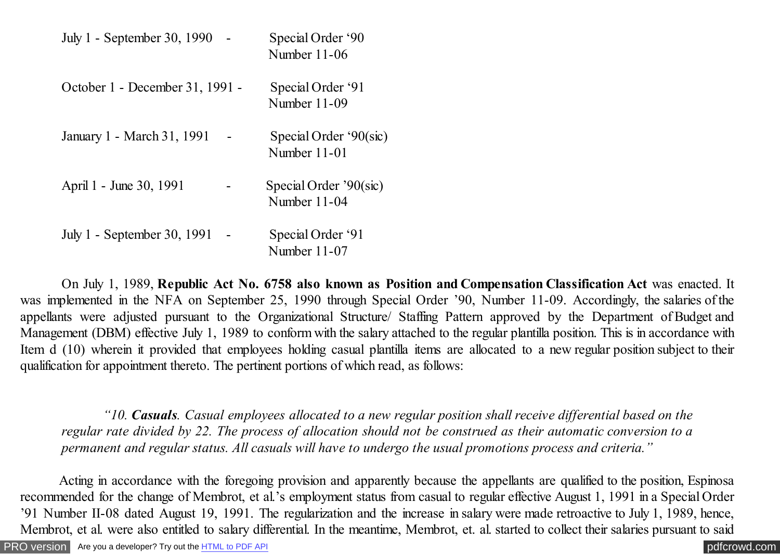| July 1 - September 30, 1990     | Special Order '90<br>Number 11-06               |
|---------------------------------|-------------------------------------------------|
| October 1 - December 31, 1991 - | Special Order '91<br>Number 11-09               |
| January 1 - March 31, 1991      | Special Order '90(sic)<br>Number 11-01          |
| April 1 - June 30, 1991         | Special Order $'90(\text{sic})$<br>Number 11-04 |
| July 1 - September 30, 1991     | Special Order '91<br>Number 11-07               |

On July 1, 1989, **Republic Act No. 6758 also known as Position and Compensation Classification Act** was enacted. It was implemented in the NFA on September 25, 1990 through Special Order '90, Number 11-09. Accordingly, the salaries of the appellants were adjusted pursuant to the Organizational Structure/ Staffing Pattern approved by the Department of Budget and Management (DBM) effective July 1, 1989 to conform with the salary attached to the regular plantilla position. This is in accordance with Item d (10) wherein it provided that employees holding casual plantilla items are allocated to a new regular position subject to their qualification for appointment thereto. The pertinent portions of which read, as follows:

*"10. Casuals. Casual employees allocated to a new regular position shall receive differential based on the regular rate divided by 22. The process of allocation should not be construed as their automatic conversion to a permanent and regular status. All casuals will have to undergo the usual promotions process and criteria."*

Acting in accordance with the foregoing provision and apparently because the appellants are qualified to the position, Espinosa recommended for the change of Membrot, et al.'s employment status from casual to regular effective August 1, 1991 in a Special Order '91 Number II-08 dated August 19, 1991. The regularization and the increase in salary were made retroactive to July 1, 1989, hence, Membrot, et al. were also entitled to salary differential. In the meantime, Membrot, et. al. started to collect their salaries pursuant to said

[PRO version](http://pdfcrowd.com/customize/) Are you a developer? Try out th[e HTML to PDF API](http://pdfcrowd.com/html-to-pdf-api/?ref=pdf) [pdfcrowd.com](http://pdfcrowd.com)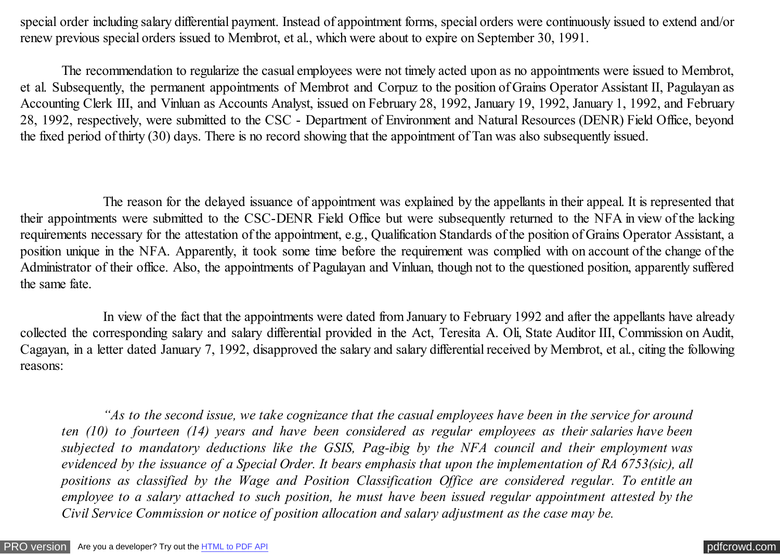special order including salary differential payment. Instead of appointment forms, special orders were continuously issued to extend and/or renew previous special orders issued to Membrot, et al., which were about to expire on September 30, 1991.

The recommendation to regularize the casual employees were not timely acted upon as no appointments were issued to Membrot, et al. Subsequently, the permanent appointments of Membrot and Corpuz to the position of Grains Operator Assistant II, Pagulayan as Accounting Clerk III, and Vinluan as Accounts Analyst, issued on February 28, 1992, January 19, 1992, January 1, 1992, and February 28, 1992, respectively, were submitted to the CSC - Department of Environment and Natural Resources (DENR) Field Office, beyond the fixed period of thirty (30) days. There is no record showing that the appointment of Tan was also subsequently issued.

 The reason for the delayed issuance of appointment was explained by the appellants in their appeal. It is represented that their appointments were submitted to the CSC-DENR Field Office but were subsequently returned to the NFA in view of the lacking requirements necessary for the attestation of the appointment, e.g., Qualification Standards of the position of Grains Operator Assistant, a position unique in the NFA. Apparently, it took some time before the requirement was complied with on account of the change of the Administrator of their office. Also, the appointments of Pagulayan and Vinluan, though not to the questioned position, apparently suffered the same fate.

 In view of the fact that the appointments were dated from January to February 1992 and after the appellants have already collected the corresponding salary and salary differential provided in the Act, Teresita A. Oli, State Auditor III, Commission on Audit, Cagayan, in a letter dated January 7, 1992, disapproved the salary and salary differential received by Membrot, et al., citing the following reasons:

*"As to the second issue, we take cognizance that the casual employees have been in the service for around ten (10) to fourteen (14) years and have been considered as regular employees as their salaries have been subjected to mandatory deductions like the GSIS, Pag-ibig by the NFA council and their employment was evidenced by the issuance of a Special Order. It bears emphasis that upon the implementation of RA 6753(sic), all positions as classified by the Wage and Position Classification Office are considered regular. To entitle an employee to a salary attached to such position, he must have been issued regular appointment attested by the Civil Service Commission or notice of position allocation and salary adjustment as the case may be.*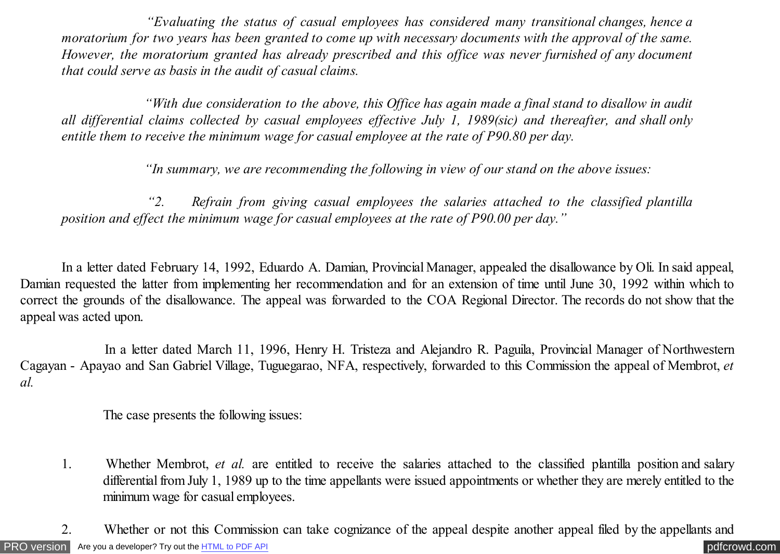*"Evaluating the status of casual employees has considered many transitional changes, hence a moratorium for two years has been granted to come up with necessary documents with the approval of the same. However, the moratorium granted has already prescribed and this office was never furnished of any document that could serve as basis in the audit of casual claims.*

 *"With due consideration to the above, this Office has again made a final stand to disallow in audit all differential claims collected by casual employees effective July 1, 1989(sic) and thereafter, and shall only entitle them to receive the minimum wage for casual employee at the rate of P90.80 per day.*

 *"In summary, we are recommending the following in view of our stand on the above issues:*

 *"2. Refrain from giving casual employees the salaries attached to the classified plantilla position and effect the minimum wage for casual employees at the rate of P90.00 per day."*

In a letter dated February 14, 1992, Eduardo A. Damian, Provincial Manager, appealed the disallowance by Oli. In said appeal, Damian requested the latter from implementing her recommendation and for an extension of time until June 30, 1992 within which to correct the grounds of the disallowance. The appeal was forwarded to the COA Regional Director. The records do not show that the appeal was acted upon.

 In a letter dated March 11, 1996, Henry H. Tristeza and Alejandro R. Paguila, Provincial Manager of Northwestern Cagayan - Apayao and San Gabriel Village, Tuguegarao, NFA, respectively, forwarded to this Commission the appeal of Membrot, *et al.*

The case presents the following issues:

1. Whether Membrot, *et al.* are entitled to receive the salaries attached to the classified plantilla position and salary differential from July 1, 1989 up to the time appellants were issued appointments or whether they are merely entitled to the minimum wage for casual employees.

[PRO version](http://pdfcrowd.com/customize/) Are you a developer? Try out th[e HTML to PDF API](http://pdfcrowd.com/html-to-pdf-api/?ref=pdf) compared to the comparison of the HTML to PDF API 2. Whether or not this Commission can take cognizance of the appeal despite another appeal filed by the appellants and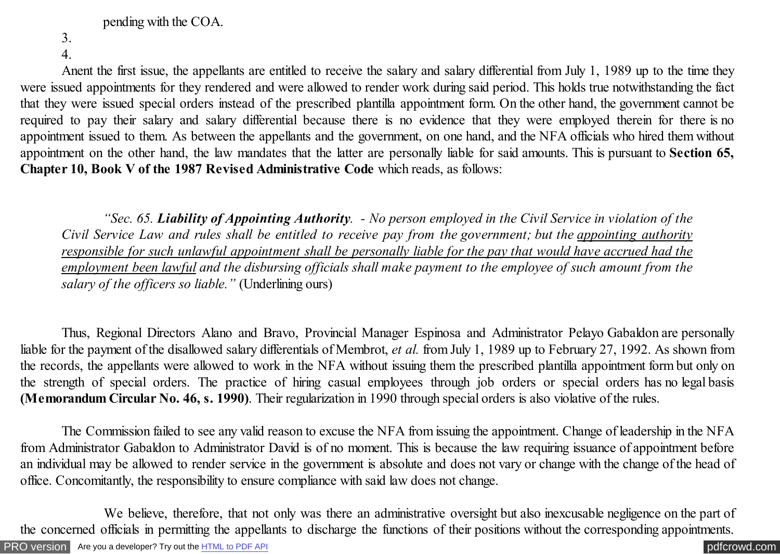```
pending with the COA.
```
3.

4.

 Anent the first issue, the appellants are entitled to receive the salary and salary differential from July 1, 1989 up to the time they were issued appointments for they rendered and were allowed to render work during said period. This holds true notwithstanding the fact that they were issued special orders instead of the prescribed plantilla appointment form. On the other hand, the government cannot be required to pay their salary and salary differential because there is no evidence that they were employed therein for there is no appointment issued to them. As between the appellants and the government, on one hand, and the NFA officials who hired them without appointment on the other hand, the law mandates that the latter are personally liable for said amounts. This is pursuant to **Section 65, Chapter 10, Book V of the 1987 Revised Administrative Code** which reads, as follows:

 *"Sec. 65. Liability of Appointing Authority. - No person employed in the Civil Service in violation of the Civil Service Law and rules shall be entitled to receive pay from the government; but the appointing authority responsible for such unlawful appointment shall be personally liable for the pay that would have accrued had the employment been lawful and the disbursing officials shall make payment to the employee of such amount from the salary of the officers so liable."* (Underlining ours)

Thus, Regional Directors Alano and Bravo, Provincial Manager Espinosa and Administrator Pelayo Gabaldon are personally liable for the payment of the disallowed salary differentials of Membrot, *et al.* from July 1, 1989 up to February 27, 1992. As shown from the records, the appellants were allowed to work in the NFA without issuing them the prescribed plantilla appointment form but only on the strength of special orders. The practice of hiring casual employees through job orders or special orders has no legal basis **(Memorandum Circular No. 46, s. 1990)**. Their regularization in 1990 through special orders is also violative of the rules.

The Commission failed to see any valid reason to excuse the NFA from issuing the appointment. Change of leadership in the NFA from Administrator Gabaldon to Administrator David is of no moment. This is because the law requiring issuance of appointment before an individual may be allowed to render service in the government is absolute and does not vary or change with the change of the head of office. Concomitantly, the responsibility to ensure compliance with said law does not change.

We believe, therefore, that not only was there an administrative oversight but also inexcusable negligence on the part of the concerned officials in permitting the appellants to discharge the functions of their positions without the corresponding appointments.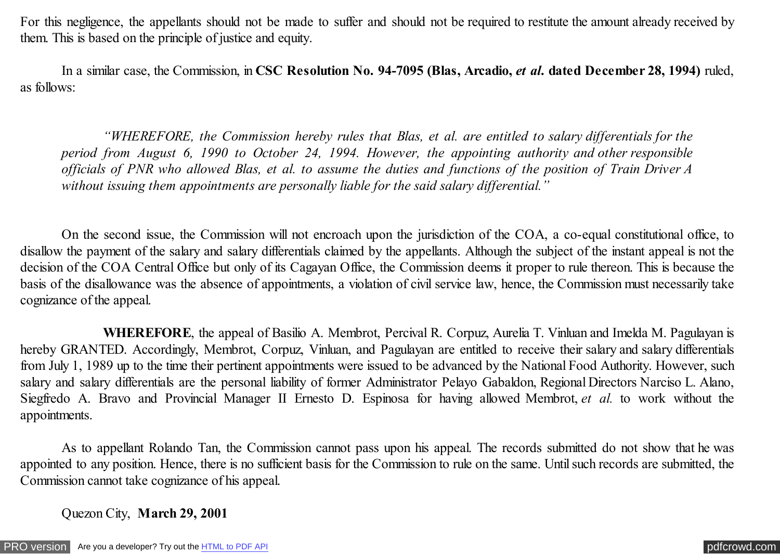For this negligence, the appellants should not be made to suffer and should not be required to restitute the amount already received by them. This is based on the principle of justice and equity.

In a similar case, the Commission, in **CSC Resolution No. 94-7095 (Blas, Arcadio,** *et al.* **dated December 28, 1994)** ruled, as follows:

*"WHEREFORE, the Commission hereby rules that Blas, et al. are entitled to salary differentials for the period from August 6, 1990 to October 24, 1994. However, the appointing authority and other responsible officials of PNR who allowed Blas, et al. to assume the duties and functions of the position of Train Driver A without issuing them appointments are personally liable for the said salary differential."*

On the second issue, the Commission will not encroach upon the jurisdiction of the COA, a co-equal constitutional office, to disallow the payment of the salary and salary differentials claimed by the appellants. Although the subject of the instant appeal is not the decision of the COA Central Office but only of its Cagayan Office, the Commission deems it proper to rule thereon. This is because the basis of the disallowance was the absence of appointments, a violation of civil service law, hence, the Commission must necessarily take cognizance of the appeal.

 **WHEREFORE**, the appeal of Basilio A. Membrot, Percival R. Corpuz, Aurelia T. Vinluan and Imelda M. Pagulayan is hereby GRANTED. Accordingly, Membrot, Corpuz, Vinluan, and Pagulayan are entitled to receive their salary and salary differentials from July 1, 1989 up to the time their pertinent appointments were issued to be advanced by the National Food Authority. However, such salary and salary differentials are the personal liability of former Administrator Pelayo Gabaldon, Regional Directors Narciso L. Alano, Siegfredo A. Bravo and Provincial Manager II Ernesto D. Espinosa for having allowed Membrot, *et al.* to work without the appointments.

As to appellant Rolando Tan, the Commission cannot pass upon his appeal. The records submitted do not show that he was appointed to any position. Hence, there is no sufficient basis for the Commission to rule on the same. Until such records are submitted, the Commission cannot take cognizance of his appeal.

Quezon City, **March 29, 2001**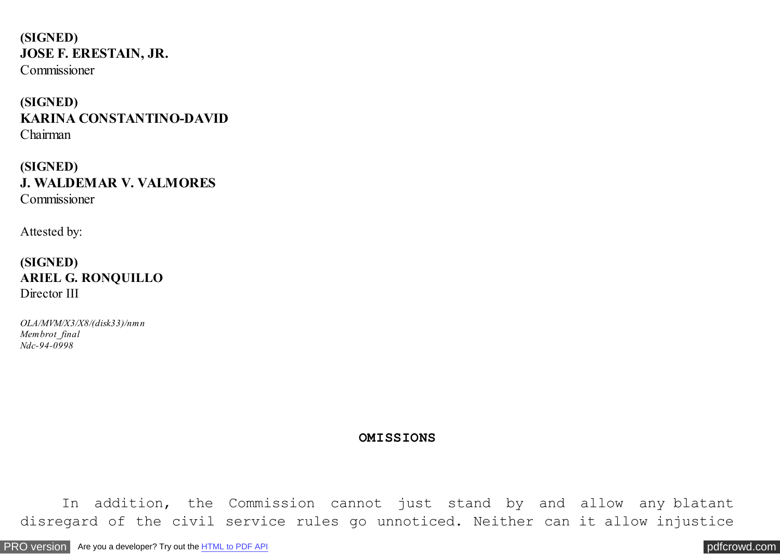**(SIGNED) JOSE F. ERESTAIN, JR.** Commissioner

**(SIGNED) KARINA CONSTANTINO-DAVID** Chairman

**(SIGNED) J. WALDEMAR V. VALMORES** Commissioner

Attested by:

**(SIGNED) ARIEL G. RONQUILLO** Director III

*OLA/MVM/X3/X8/(disk33)/nmn Membrot\_final Ndc-94-0998*

## **OMISSIONS**

In addition, the Commission cannot just stand by and allow any blatant disregard of the civil service rules go unnoticed. Neither can it allow injustice